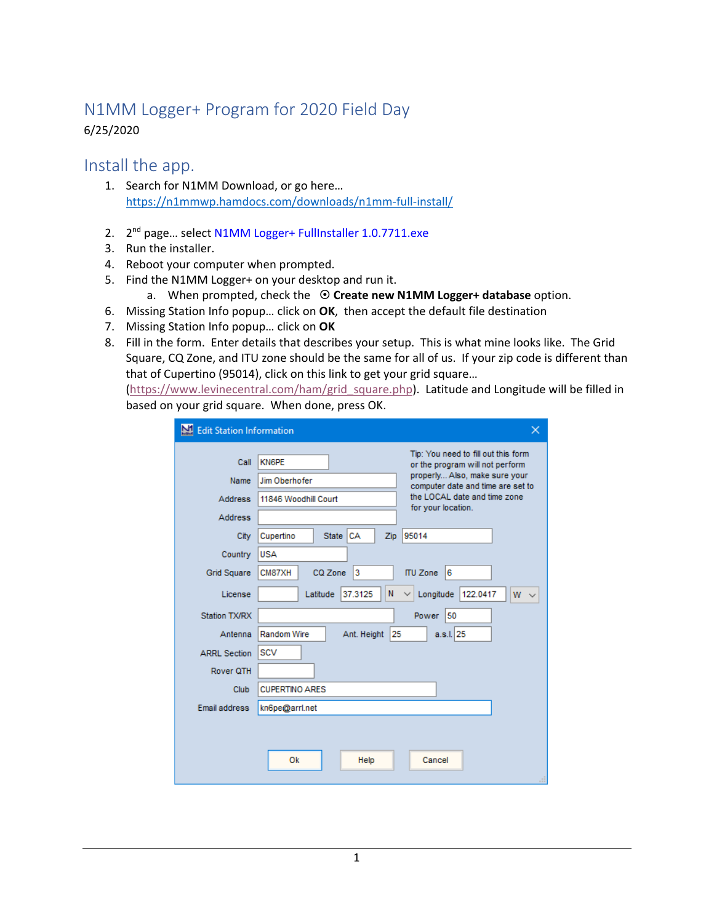# N1MM Logger+ Program for 2020 Field Day 6/25/2020

## Install the app.

- 1. Search for N1MM Download, or go here… https://n1mmwp.hamdocs.com/downloads/n1mm-full-install/
- 2. 2<sup>nd</sup> page... select N1MM Logger+ FullInstaller 1.0.7711.exe
- 3. Run the installer.
- 4. Reboot your computer when prompted.
- 5. Find the N1MM Logger+ on your desktop and run it.
	- a. When prompted, check the **Create new N1MM Logger+ database** option.
- 6. Missing Station Info popup… click on **OK**, then accept the default file destination
- 7. Missing Station Info popup… click on **OK**
- 8. Fill in the form. Enter details that describes your setup. This is what mine looks like. The Grid Square, CQ Zone, and ITU zone should be the same for all of us. If your zip code is different than that of Cupertino (95014), click on this link to get your grid square…

(https://www.levinecentral.com/ham/grid\_square.php). Latitude and Longitude will be filled in based on your grid square. When done, press OK.

| Edit Station Information | $\times$                                                                               |
|--------------------------|----------------------------------------------------------------------------------------|
| Call                     | Tip: You need to fill out this form<br><b>KN6PE</b><br>or the program will not perform |
| Name                     | properly Also, make sure your<br>Jim Oberhofer<br>computer date and time are set to    |
| Address                  | the LOCAL date and time zone<br>11846 Woodhill Court<br>for your location.             |
| <b>Address</b>           |                                                                                        |
| City                     | l CA<br>95014<br><b>State</b><br>Cupertino<br>Zip                                      |
| Country                  | <b>USA</b>                                                                             |
| <b>Grid Square</b>       | 3<br>6<br>CM87XH<br>CQ Zone<br><b>ITU Zone</b>                                         |
| License                  | 122.0417<br>37.3125<br>N<br>Longitude<br>Latitude<br>W<br>$\checkmark$<br>$\checkmark$ |
| <b>Station TX/RX</b>     | 50<br>Power                                                                            |
| Antenna                  | a.s.l.  25<br>Random Wire<br>Ant. Height<br>25                                         |
| <b>ARRL Section</b>      | <b>SCV</b>                                                                             |
| Rover QTH                |                                                                                        |
| Club                     | <b>CUPERTINO ARES</b>                                                                  |
| Email address            | kn6pe@arrl.net                                                                         |
|                          |                                                                                        |
|                          |                                                                                        |
|                          | Ok<br>Help<br>Cancel                                                                   |
|                          |                                                                                        |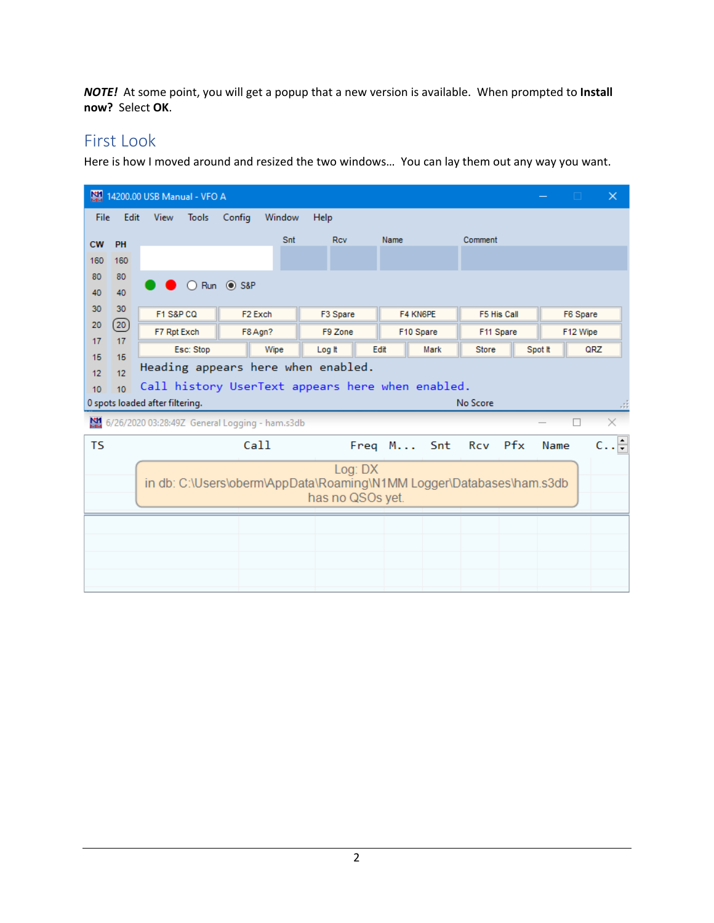*NOTE!* At some point, you will get a popup that a new version is available. When prompted to **Install now?** Select **OK**.

## First Look

Here is how I moved around and resized the two windows… You can lay them out any way you want.

|           |                                                        | 14200.00 USB Manual - VFO A                    |                     |                  |                                                                      |              | n                    | $\times$      |  |  |  |  |
|-----------|--------------------------------------------------------|------------------------------------------------|---------------------|------------------|----------------------------------------------------------------------|--------------|----------------------|---------------|--|--|--|--|
| File      | Edit                                                   | <b>View</b><br><b>Tools</b>                    | Config<br>Window    | Help             |                                                                      |              |                      |               |  |  |  |  |
| <b>CW</b> | PH                                                     |                                                | Snt                 | <b>Rcv</b>       | Name                                                                 | Comment      |                      |               |  |  |  |  |
| 160       | 160                                                    |                                                |                     |                  |                                                                      |              |                      |               |  |  |  |  |
| 80        | 80                                                     |                                                | ○ Run ● S&P         |                  |                                                                      |              |                      |               |  |  |  |  |
| 40        | 40                                                     |                                                |                     |                  |                                                                      |              |                      |               |  |  |  |  |
| 30<br>20  | 30<br>(20)                                             | F1 S&P CQ                                      | F <sub>2</sub> Exch | F3 Spare         | F4 KN6PE                                                             | F5 His Call  | F6 Spare<br>F12 Wipe |               |  |  |  |  |
| 17        | 17                                                     | F7 Rpt Exch                                    | F8 Agn?             | F9 Zone          | F10 Spare                                                            | F11 Spare    |                      |               |  |  |  |  |
| 15        | 15                                                     | Esc: Stop                                      | Wipe                | Log It           | Edit<br>Mark                                                         | <b>Store</b> | Spot It<br>QRZ       |               |  |  |  |  |
| 12        | Heading appears here when enabled.<br>12               |                                                |                     |                  |                                                                      |              |                      |               |  |  |  |  |
| 10        | Call history UserText appears here when enabled.<br>10 |                                                |                     |                  |                                                                      |              |                      |               |  |  |  |  |
|           |                                                        |                                                |                     |                  |                                                                      |              |                      |               |  |  |  |  |
|           |                                                        | 0 spots loaded after filtering.                |                     |                  |                                                                      | No Score     |                      |               |  |  |  |  |
|           |                                                        | 6/26/2020 03:28:49Z General Logging - ham.s3db |                     |                  |                                                                      |              |                      |               |  |  |  |  |
| <b>TS</b> |                                                        |                                                | Call                |                  | Freq M Snt Rcv Pfx                                                   |              | Name                 | $c. . \vDash$ |  |  |  |  |
|           |                                                        |                                                |                     | Log: DX          |                                                                      |              |                      |               |  |  |  |  |
|           |                                                        |                                                |                     |                  | in db: C:\Users\oberm\AppData\Roaming\N1MM Logger\Databases\ham.s3db |              |                      |               |  |  |  |  |
|           |                                                        |                                                |                     | has no QSOs yet. |                                                                      |              |                      |               |  |  |  |  |
|           |                                                        |                                                |                     |                  |                                                                      |              |                      |               |  |  |  |  |
|           |                                                        |                                                |                     |                  |                                                                      |              |                      |               |  |  |  |  |
|           |                                                        |                                                |                     |                  |                                                                      |              |                      |               |  |  |  |  |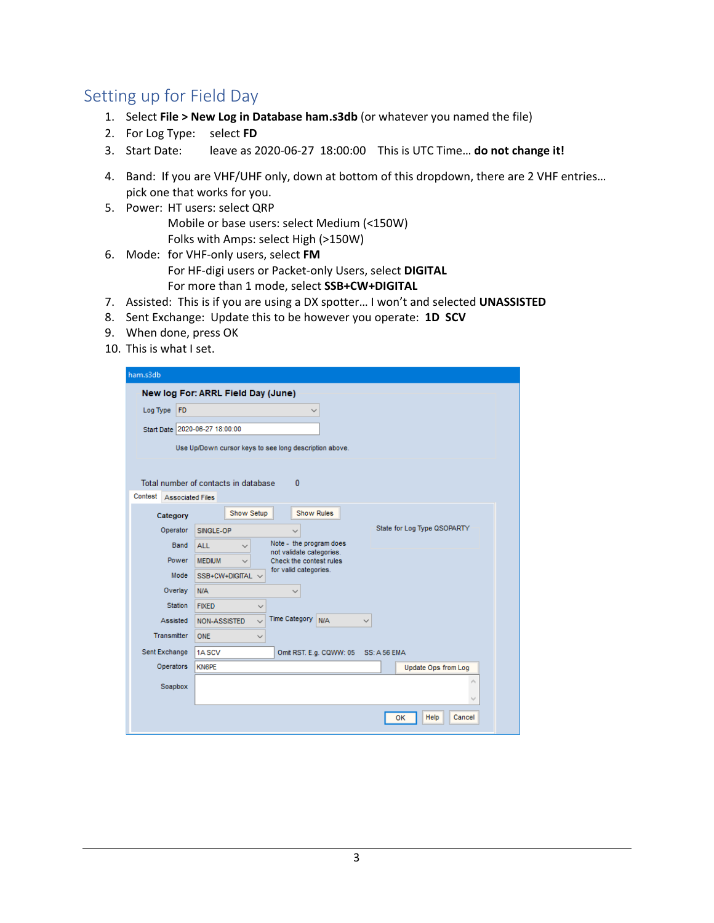# Setting up for Field Day

- 1. Select **File > New Log in Database ham.s3db** (or whatever you named the file)
- 2. For Log Type: select **FD**
- 3. Start Date: leave as 2020‐06‐27 18:00:00 This is UTC Time… **do not change it!**
- 4. Band: If you are VHF/UHF only, down at bottom of this dropdown, there are 2 VHF entries… pick one that works for you.
- 5. Power: HT users: select QRP Mobile or base users: select Medium (<150W) Folks with Amps: select High (>150W)
- 6. Mode: for VHF‐only users, select **FM**  For HF‐digi users or Packet‐only Users, select **DIGITAL** For more than 1 mode, select **SSB+CW+DIGITAL**
- 7. Assisted: This is if you are using a DX spotter… I won't and selected **UNASSISTED**
- 8. Sent Exchange: Update this to be however you operate: **1D SCV**
- 9. When done, press OK
- 10. This is what I set.

| ham.s3db                           |                                                                                      |
|------------------------------------|--------------------------------------------------------------------------------------|
|                                    | New log For: ARRL Field Day (June)                                                   |
| Log Type<br>FD                     | $\checkmark$                                                                         |
| Start Date 2020-06-27 18:00:00     |                                                                                      |
|                                    | Use Up/Down cursor keys to see long description above.                               |
|                                    |                                                                                      |
|                                    | Total number of contacts in database<br>$\mathbf{0}$                                 |
| Contest<br><b>Associated Files</b> |                                                                                      |
| Category                           | Show Setup<br><b>Show Rules</b>                                                      |
| Operator                           | State for Log Type QSOPARTY<br>SINGLE-OP                                             |
| Band                               | Note - the program does<br><b>ALL</b><br>$\checkmark$                                |
| Power                              | not validate categories.<br>Check the contest rules<br><b>MEDIUM</b><br>$\checkmark$ |
| Mode                               | for valid categories.<br>SSB+CW+DIGITAL $\vee$                                       |
| Overlay                            | N/A                                                                                  |
| <b>Station</b>                     | <b>FIXED</b><br>$\checkmark$                                                         |
| Assisted                           | Time Category N/A<br><b>NON-ASSISTED</b><br>$\checkmark$                             |
| Transmitter                        | ONE<br>$\checkmark$                                                                  |
| Sent Exchange                      | 1ASCV<br>Omit RST. E.g. CQWW: 05<br><b>SS: A 56 EMA</b>                              |
| Operators                          | <b>KN6PE</b><br>Update Ops from Log                                                  |
| Soapbox                            |                                                                                      |
|                                    |                                                                                      |
|                                    | Help<br>Cancel<br>OK                                                                 |
|                                    |                                                                                      |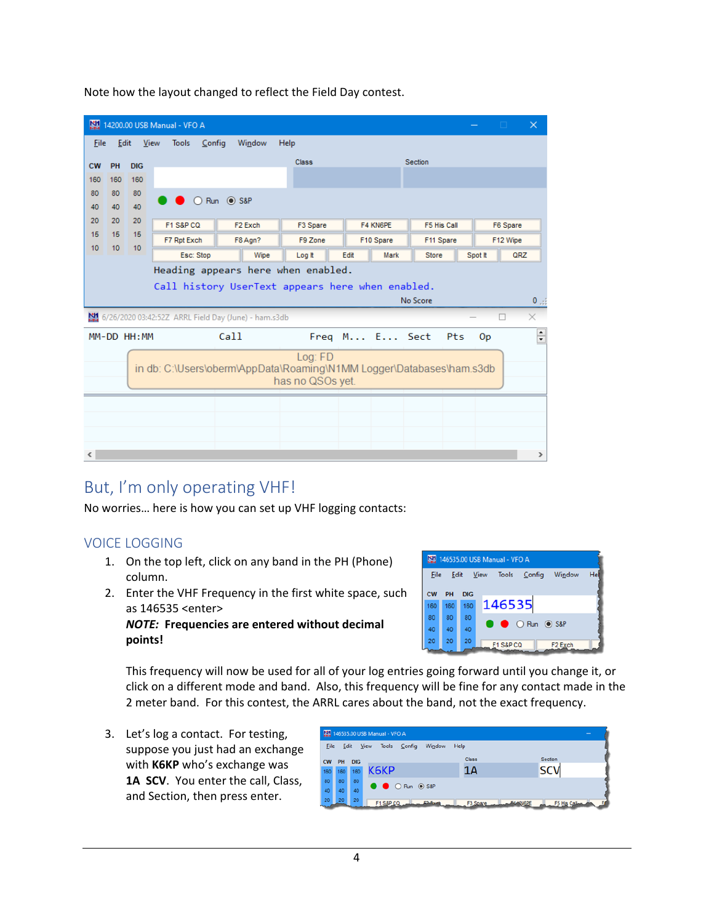| 関                      |                       |                 | 14200.00 USB Manual - VFO A                                          |                                                  |                  |               |      |             |     |                | $\Box$   | $\times$                               |
|------------------------|-----------------------|-----------------|----------------------------------------------------------------------|--------------------------------------------------|------------------|---------------|------|-------------|-----|----------------|----------|----------------------------------------|
| <b>Eile</b>            | Edit                  |                 | <b>Tools</b><br>View<br>Config                                       | Window                                           | <b>Help</b>      |               |      |             |     |                |          |                                        |
| <b>CW</b>              | PH                    | <b>DIG</b>      |                                                                      |                                                  | <b>Class</b>     |               |      | Section     |     |                |          |                                        |
| 160                    | 160                   | 160             |                                                                      |                                                  |                  |               |      |             |     |                |          |                                        |
| 80                     | 80                    | 80              |                                                                      | O Run <sup>O</sup> S&P                           |                  |               |      |             |     |                |          |                                        |
| 40                     | 40                    | 40              |                                                                      |                                                  |                  |               |      |             |     |                |          |                                        |
| 20<br>15 <sub>15</sub> | 20<br>15 <sub>1</sub> | 20<br>15        | F1 S&P CQ                                                            | F <sub>2</sub> Exch                              | F3 Spare         | F4 KN6PE      |      | F5 His Call |     |                | F6 Spare |                                        |
| 10 <sub>1</sub>        | 10 <sub>1</sub>       | 10 <sup>°</sup> | F7 Rpt Exch                                                          | F8 Agn?                                          | F9 Zone          | F10 Spare     |      | F11 Spare   |     |                | F12 Wipe |                                        |
|                        |                       |                 | Esc: Stop                                                            | Wipe                                             | Log It           | Edit          | Mark | Store       |     | Spot It        | QRZ      |                                        |
|                        |                       |                 | Heading appears here when enabled.                                   |                                                  |                  |               |      |             |     |                |          |                                        |
|                        |                       |                 |                                                                      |                                                  |                  |               |      |             |     |                |          |                                        |
|                        |                       |                 |                                                                      | Call history UserText appears here when enabled. |                  |               |      |             |     |                |          |                                        |
|                        |                       |                 |                                                                      |                                                  |                  |               |      | No Score    |     |                |          |                                        |
|                        |                       |                 | 6/26/2020 03:42:52Z ARRL Field Day (June) - ham.s3db                 |                                                  |                  |               |      |             |     |                | П        | $\times$                               |
|                        |                       | MM-DD HH: MM    |                                                                      | Call                                             |                  | Freq M E Sect |      |             | Pts | 0 <sub>p</sub> |          | $\mathbf{0}_{\rightarrow i}$<br>$\div$ |
|                        |                       |                 |                                                                      |                                                  | Log: FD          |               |      |             |     |                |          |                                        |
|                        |                       |                 | in db: C:\Users\oberm\AppData\Roaming\N1MM Logger\Databases\ham.s3db |                                                  |                  |               |      |             |     |                |          |                                        |
|                        |                       |                 |                                                                      |                                                  | has no QSOs yet. |               |      |             |     |                |          |                                        |
|                        |                       |                 |                                                                      |                                                  |                  |               |      |             |     |                |          |                                        |
|                        |                       |                 |                                                                      |                                                  |                  |               |      |             |     |                |          |                                        |
|                        |                       |                 |                                                                      |                                                  |                  |               |      |             |     |                |          |                                        |

Note how the layout changed to reflect the Field Day contest.

# But, I'm only operating VHF!

No worries… here is how you can set up VHF logging contacts:

## VOICE LOGGING

- 1. On the top left, click on any band in the PH (Phone) column.
- 2. Enter the VHF Frequency in the first white space, such as 146535 <enter> *NOTE:* **Frequencies are entered without decimal**



**points!**

This frequency will now be used for all of your log entries going forward until you change it, or click on a different mode and band. Also, this frequency will be fine for any contact made in the 2 meter band. For this contest, the ARRL cares about the band, not the exact frequency.

3. Let's log a contact. For testing, suppose you just had an exchange with **K6KP** who's exchange was 1A SCV. You enter the call, Class, and Section, then press enter.

|             |      |            | 146535.00 USB Manual - VFO A |               |                      | $\sim$        |
|-------------|------|------------|------------------------------|---------------|----------------------|---------------|
| <b>File</b> | Edit |            | <b>Tools</b><br>View         | Config        | Help<br>Window       |               |
| <b>CW</b>   | PH   | <b>DIG</b> |                              |               | <b>Class</b>         | Section       |
| 160         | 160  | 160        | К6КР                         |               | 1Α                   | <b>SCV</b>    |
| 80          | 80   | 80         | ● ● O Run ● S&P              |               |                      |               |
| 40          | 40   | 40         |                              |               |                      |               |
| 20          | 20   | 20         | F1 S&P.CQ.                   | <b>CO-Bus</b> | F <sub>3</sub> Spare | F5 His Caller |